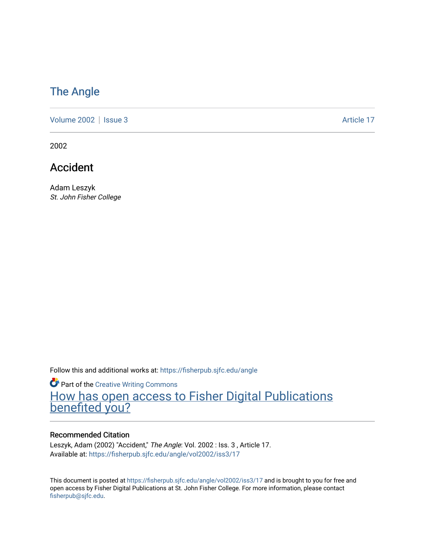## [The Angle](https://fisherpub.sjfc.edu/angle)

[Volume 2002](https://fisherpub.sjfc.edu/angle/vol2002) | [Issue 3](https://fisherpub.sjfc.edu/angle/vol2002/iss3) Article 17

2002

Accident

Adam Leszyk St. John Fisher College

Follow this and additional works at: [https://fisherpub.sjfc.edu/angle](https://fisherpub.sjfc.edu/angle?utm_source=fisherpub.sjfc.edu%2Fangle%2Fvol2002%2Fiss3%2F17&utm_medium=PDF&utm_campaign=PDFCoverPages)

**Part of the Creative Writing Commons** [How has open access to Fisher Digital Publications](https://docs.google.com/forms/d/14zrnDfH9d1wcdq8oG_-gFabAsxfcH5claltx85ZWyTg/viewform?entry.1394608989=https://fisherpub.sjfc.edu/angle/vol2002/iss3/17%3Chttps://docs.google.com/forms/d/14zrnDfH9d1wcdq8oG_-gFabAsxfcH5claltx85ZWyTg/viewform?entry.1394608989=%7bhttps://fisherpub.sjfc.edu/angle/vol2002/iss3/17%7d) [benefited you?](https://docs.google.com/forms/d/14zrnDfH9d1wcdq8oG_-gFabAsxfcH5claltx85ZWyTg/viewform?entry.1394608989=https://fisherpub.sjfc.edu/angle/vol2002/iss3/17%3Chttps://docs.google.com/forms/d/14zrnDfH9d1wcdq8oG_-gFabAsxfcH5claltx85ZWyTg/viewform?entry.1394608989=%7bhttps://fisherpub.sjfc.edu/angle/vol2002/iss3/17%7d)

#### Recommended Citation

Leszyk, Adam (2002) "Accident," The Angle: Vol. 2002 : Iss. 3 , Article 17. Available at: [https://fisherpub.sjfc.edu/angle/vol2002/iss3/17](https://fisherpub.sjfc.edu/angle/vol2002/iss3/17?utm_source=fisherpub.sjfc.edu%2Fangle%2Fvol2002%2Fiss3%2F17&utm_medium=PDF&utm_campaign=PDFCoverPages) 

This document is posted at <https://fisherpub.sjfc.edu/angle/vol2002/iss3/17> and is brought to you for free and open access by Fisher Digital Publications at St. John Fisher College. For more information, please contact [fisherpub@sjfc.edu](mailto:fisherpub@sjfc.edu).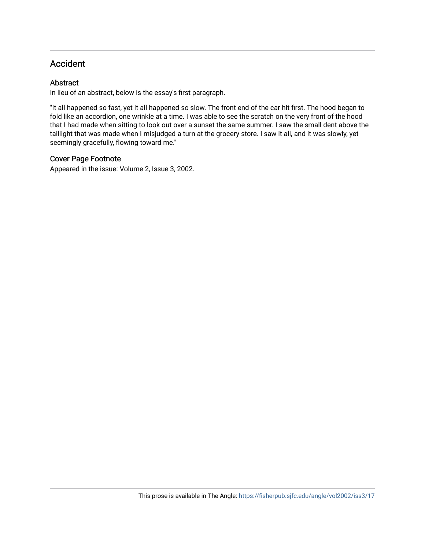### Accident

#### **Abstract**

In lieu of an abstract, below is the essay's first paragraph.

"It all happened so fast, yet it all happened so slow. The front end of the car hit first. The hood began to fold like an accordion, one wrinkle at a time. I was able to see the scratch on the very front of the hood that I had made when sitting to look out over a sunset the same summer. I saw the small dent above the taillight that was made when I misjudged a turn at the grocery store. I saw it all, and it was slowly, yet seemingly gracefully, flowing toward me."

#### Cover Page Footnote

Appeared in the issue: Volume 2, Issue 3, 2002.